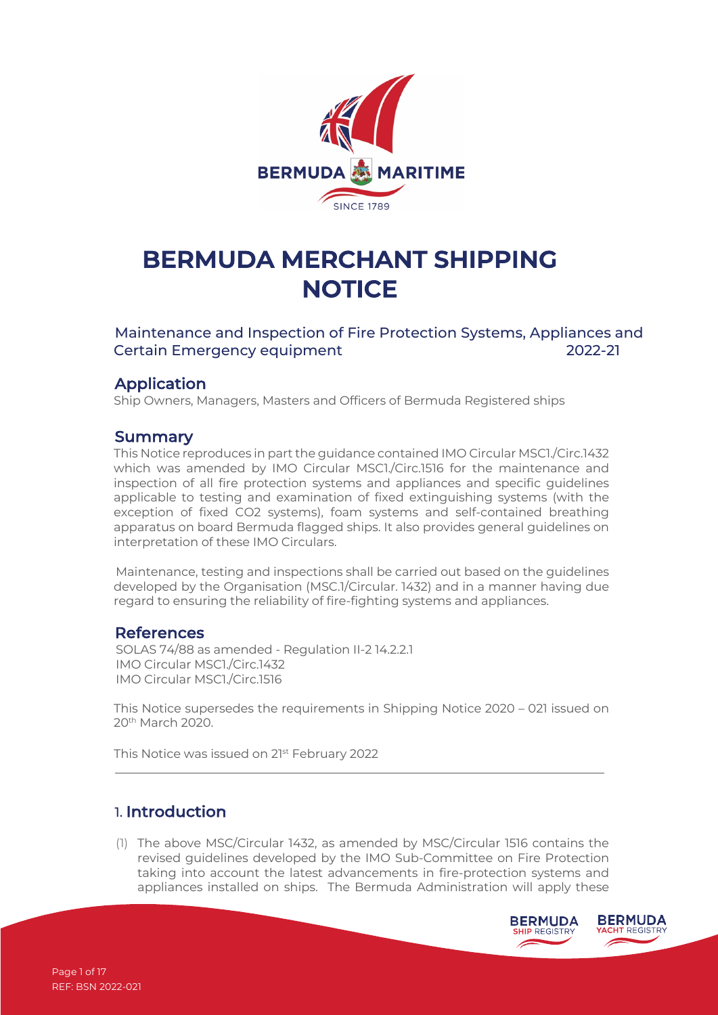

# **BERMUDA MERCHANT SHIPPING NOTICE**

Maintenance and Inspection of Fire Protection Systems, Appliances and Certain Emergency equipment 2022-21

#### Application

Ship Owners, Managers, Masters and Officers of Bermuda Registered ships

#### **Summary**

This Notice reproduces in part the guidance contained IMO Circular MSC1./Circ.1432 which was amended by IMO Circular MSC1./Circ.1516 for the maintenance and inspection of all fire protection systems and appliances and specific guidelines applicable to testing and examination of fixed extinguishing systems (with the exception of fixed CO2 systems), foam systems and self-contained breathing apparatus on board Bermuda flagged ships. It also provides general guidelines on interpretation of these IMO Circulars.

Maintenance, testing and inspections shall be carried out based on the guidelines developed by the Organisation (MSC.1/Circular. 1432) and in a manner having due regard to ensuring the reliability of fire-fighting systems and appliances.

#### References

SOLAS 74/88 as amended - Regulation II-2 14.2.2.1 IMO Circular MSC1./Circ.1432 IMO Circular MSC1./Circ.1516

This Notice supersedes the requirements in Shipping Notice 2020 – 021 issued on 20th March 2020.

This Notice was issued on 21<sup>st</sup> February 2022

## 1. Introduction

(1) The above MSC/Circular 1432, as amended by MSC/Circular 1516 contains the revised guidelines developed by the IMO Sub-Committee on Fire Protection taking into account the latest advancements in fire-protection systems and appliances installed on ships. The Bermuda Administration will apply these

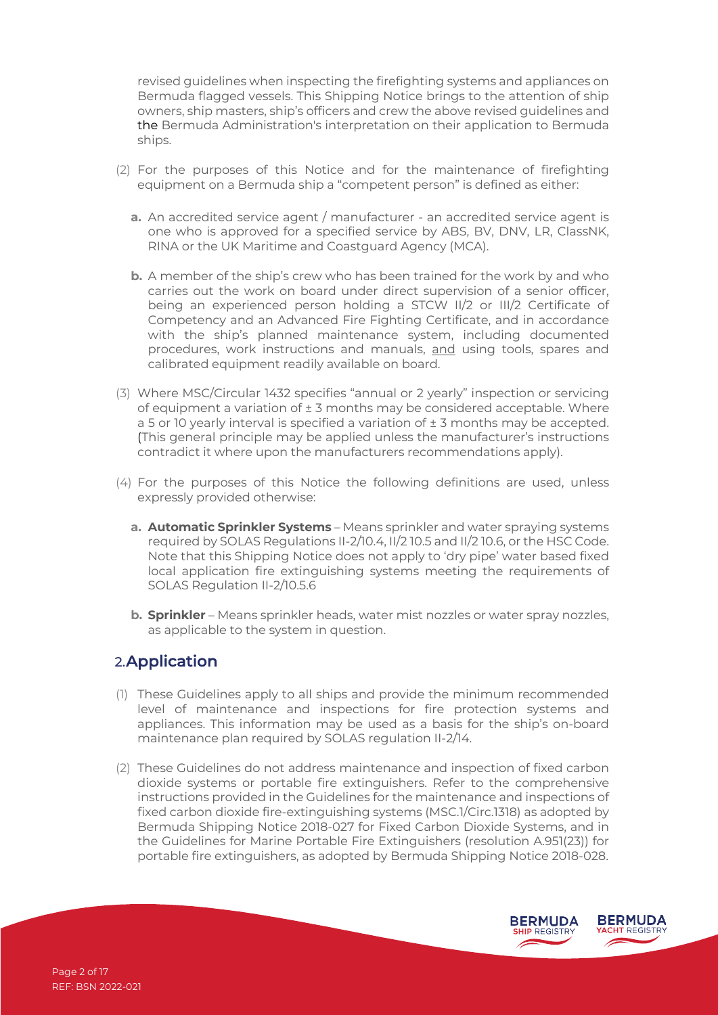revised guidelines when inspecting the firefighting systems and appliances on Bermuda flagged vessels. This Shipping Notice brings to the attention of ship owners, ship masters, ship's officers and crew the above revised guidelines and the Bermuda Administration's interpretation on their application to Bermuda ships.

- (2) For the purposes of this Notice and for the maintenance of firefighting equipment on a Bermuda ship a "competent person" is defined as either:
	- **a.** An accredited service agent / manufacturer an accredited service agent is one who is approved for a specified service by ABS, BV, DNV, LR, ClassNK, RINA or the UK Maritime and Coastguard Agency (MCA).
	- **b.** A member of the ship's crew who has been trained for the work by and who carries out the work on board under direct supervision of a senior officer, being an experienced person holding a STCW II/2 or III/2 Certificate of Competency and an Advanced Fire Fighting Certificate, and in accordance with the ship's planned maintenance system, including documented procedures, work instructions and manuals, and using tools, spares and calibrated equipment readily available on board.
- (3) Where MSC/Circular 1432 specifies "annual or 2 yearly" inspection or servicing of equipment a variation of  $\pm 3$  months may be considered acceptable. Where a 5 or 10 yearly interval is specified a variation of  $\pm$  3 months may be accepted. (This general principle may be applied unless the manufacturer's instructions contradict it where upon the manufacturers recommendations apply).
- (4) For the purposes of this Notice the following definitions are used, unless expressly provided otherwise:
	- **a. Automatic Sprinkler Systems** Means sprinkler and water spraying systems required by SOLAS Regulations II-2/10.4, II/2 10.5 and II/2 10.6, or the HSC Code. Note that this Shipping Notice does not apply to 'dry pipe' water based fixed local application fire extinguishing systems meeting the requirements of SOLAS Regulation II-2/10.5.6
	- **b. Sprinkler** Means sprinkler heads, water mist nozzles or water spray nozzles, as applicable to the system in question.

## 2.Application

- (1) These Guidelines apply to all ships and provide the minimum recommended level of maintenance and inspections for fire protection systems and appliances. This information may be used as a basis for the ship's on-board maintenance plan required by SOLAS regulation II-2/14.
- (2) These Guidelines do not address maintenance and inspection of fixed carbon dioxide systems or portable fire extinguishers. Refer to the comprehensive instructions provided in the Guidelines for the maintenance and inspections of fixed carbon dioxide fire-extinguishing systems (MSC.1/Circ.1318) as adopted by Bermuda Shipping Notice 2018-027 for Fixed Carbon Dioxide Systems, and in the Guidelines for Marine Portable Fire Extinguishers (resolution A.951(23)) for portable fire extinguishers, as adopted by Bermuda Shipping Notice 2018-028.

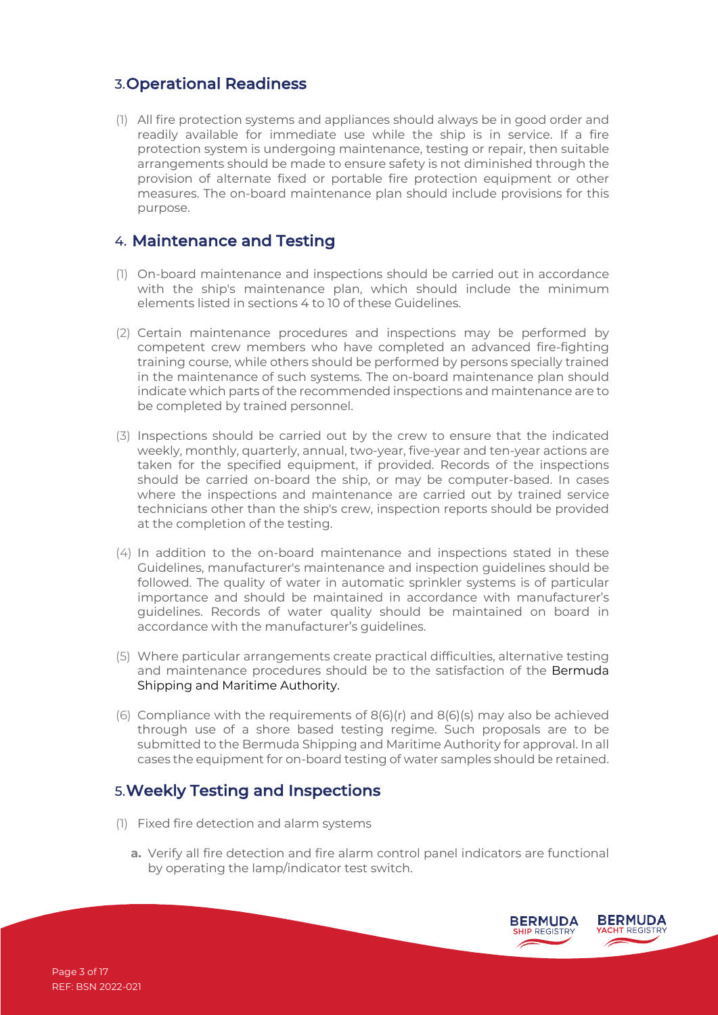## 3.Operational Readiness

(1) All fire protection systems and appliances should always be in good order and readily available for immediate use while the ship is in service. If a fire protection system is undergoing maintenance, testing or repair, then suitable arrangements should be made to ensure safety is not diminished through the provision of alternate fixed or portable fire protection equipment or other measures. The on-board maintenance plan should include provisions for this purpose.

## 4. Maintenance and Testing

- (1) On-board maintenance and inspections should be carried out in accordance with the ship's maintenance plan, which should include the minimum elements listed in sections 4 to 10 of these Guidelines.
- (2) Certain maintenance procedures and inspections may be performed by competent crew members who have completed an advanced fire-fighting training course, while others should be performed by persons specially trained in the maintenance of such systems. The on-board maintenance plan should indicate which parts of the recommended inspections and maintenance are to be completed by trained personnel.
- (3) Inspections should be carried out by the crew to ensure that the indicated weekly, monthly, quarterly, annual, two-year, five-year and ten-year actions are taken for the specified equipment, if provided. Records of the inspections should be carried on-board the ship, or may be computer-based. In cases where the inspections and maintenance are carried out by trained service technicians other than the ship's crew, inspection reports should be provided at the completion of the testing.
- (4) In addition to the on-board maintenance and inspections stated in these Guidelines, manufacturer's maintenance and inspection guidelines should be followed. The quality of water in automatic sprinkler systems is of particular importance and should be maintained in accordance with manufacturer's guidelines. Records of water quality should be maintained on board in accordance with the manufacturer's guidelines.
- (5) Where particular arrangements create practical difficulties, alternative testing and maintenance procedures should be to the satisfaction of the Bermuda Shipping and Maritime Authority.
- (6) Compliance with the requirements of  $8(6)(r)$  and  $8(6)(s)$  may also be achieved through use of a shore based testing regime. Such proposals are to be submitted to the Bermuda Shipping and Maritime Authority for approval. In all cases the equipment for on-board testing of water samples should be retained.

## 5.Weekly Testing and Inspections

- (1) Fixed fire detection and alarm systems
	- **a.** Verify all fire detection and fire alarm control panel indicators are functional by operating the lamp/indicator test switch.

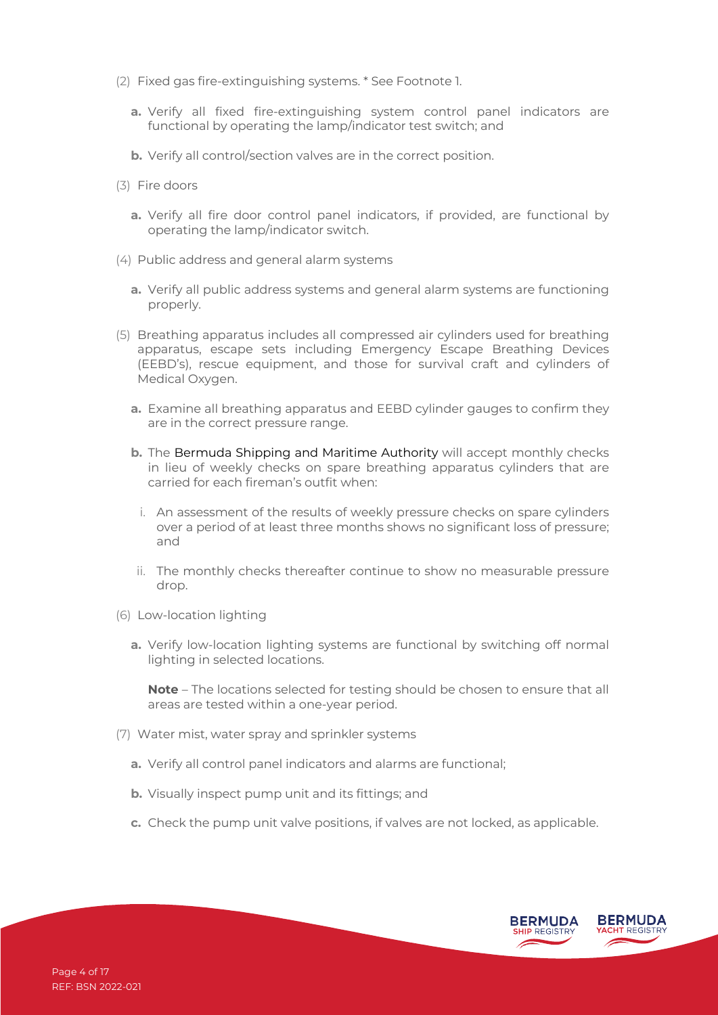- (2) Fixed gas fire-extinguishing systems. \* See Footnote 1.
	- **a.** Verify all fixed fire-extinguishing system control panel indicators are functional by operating the lamp/indicator test switch; and
	- **b.** Verify all control/section valves are in the correct position.
- (3) Fire doors
	- **a.** Verify all fire door control panel indicators, if provided, are functional by operating the lamp/indicator switch.
- (4) Public address and general alarm systems
	- **a.** Verify all public address systems and general alarm systems are functioning properly.
- (5) Breathing apparatus includes all compressed air cylinders used for breathing apparatus, escape sets including Emergency Escape Breathing Devices (EEBD's), rescue equipment, and those for survival craft and cylinders of Medical Oxygen.
	- **a.** Examine all breathing apparatus and EEBD cylinder gauges to confirm they are in the correct pressure range.
	- **b.** The Bermuda Shipping and Maritime Authority will accept monthly checks in lieu of weekly checks on spare breathing apparatus cylinders that are carried for each fireman's outfit when:
		- i. An assessment of the results of weekly pressure checks on spare cylinders over a period of at least three months shows no significant loss of pressure; and
	- ii. The monthly checks thereafter continue to show no measurable pressure drop.
- (6) Low-location lighting
	- **a.** Verify low-location lighting systems are functional by switching off normal lighting in selected locations.

**Note** – The locations selected for testing should be chosen to ensure that all areas are tested within a one-year period.

- (7) Water mist, water spray and sprinkler systems
	- **a.** Verify all control panel indicators and alarms are functional;
	- **b.** Visually inspect pump unit and its fittings; and
	- **c.** Check the pump unit valve positions, if valves are not locked, as applicable.

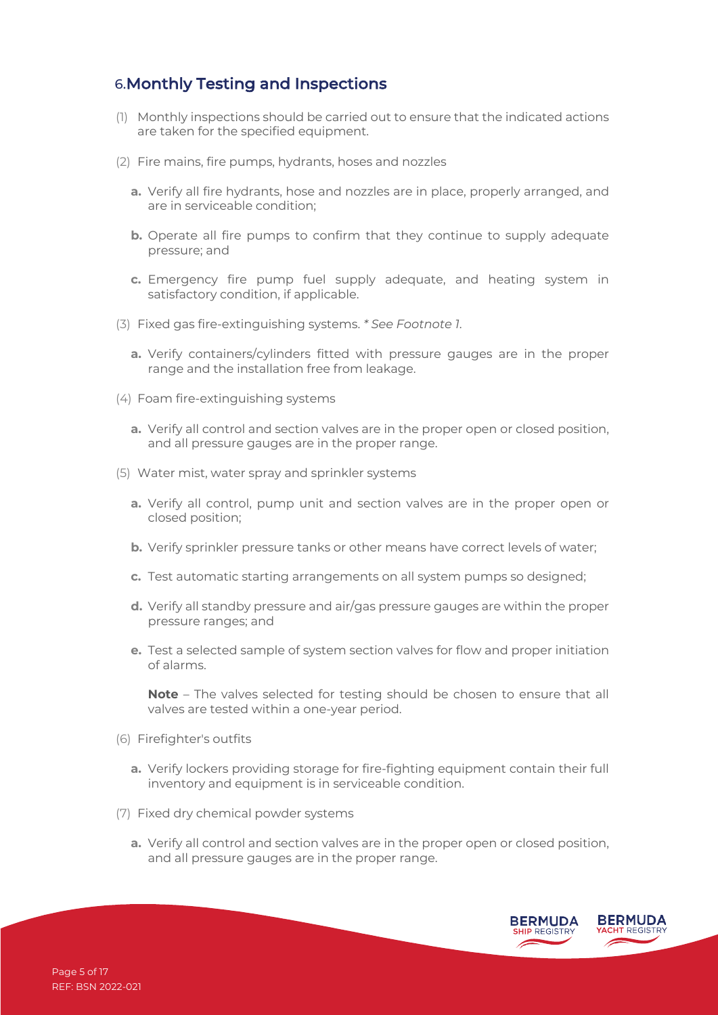# 6.Monthly Testing and Inspections

- (1) Monthly inspections should be carried out to ensure that the indicated actions are taken for the specified equipment.
- (2) Fire mains, fire pumps, hydrants, hoses and nozzles
	- **a.** Verify all fire hydrants, hose and nozzles are in place, properly arranged, and are in serviceable condition;
	- **b.** Operate all fire pumps to confirm that they continue to supply adequate pressure; and
	- **c.** Emergency fire pump fuel supply adequate, and heating system in satisfactory condition, if applicable.
- (3) Fixed gas fire-extinguishing systems. *\* See Footnote 1*.
	- **a.** Verify containers/cylinders fitted with pressure gauges are in the proper range and the installation free from leakage.
- (4) Foam fire-extinguishing systems
	- **a.** Verify all control and section valves are in the proper open or closed position, and all pressure gauges are in the proper range.
- (5) Water mist, water spray and sprinkler systems
	- **a.** Verify all control, pump unit and section valves are in the proper open or closed position;
	- **b.** Verify sprinkler pressure tanks or other means have correct levels of water;
	- **c.** Test automatic starting arrangements on all system pumps so designed;
	- **d.** Verify all standby pressure and air/gas pressure gauges are within the proper pressure ranges; and
	- **e.** Test a selected sample of system section valves for flow and proper initiation of alarms.

**Note** – The valves selected for testing should be chosen to ensure that all valves are tested within a one-year period.

- (6) Firefighter's outfits
	- **a.** Verify lockers providing storage for fire-fighting equipment contain their full inventory and equipment is in serviceable condition.
- (7) Fixed dry chemical powder systems
	- **a.** Verify all control and section valves are in the proper open or closed position, and all pressure gauges are in the proper range.

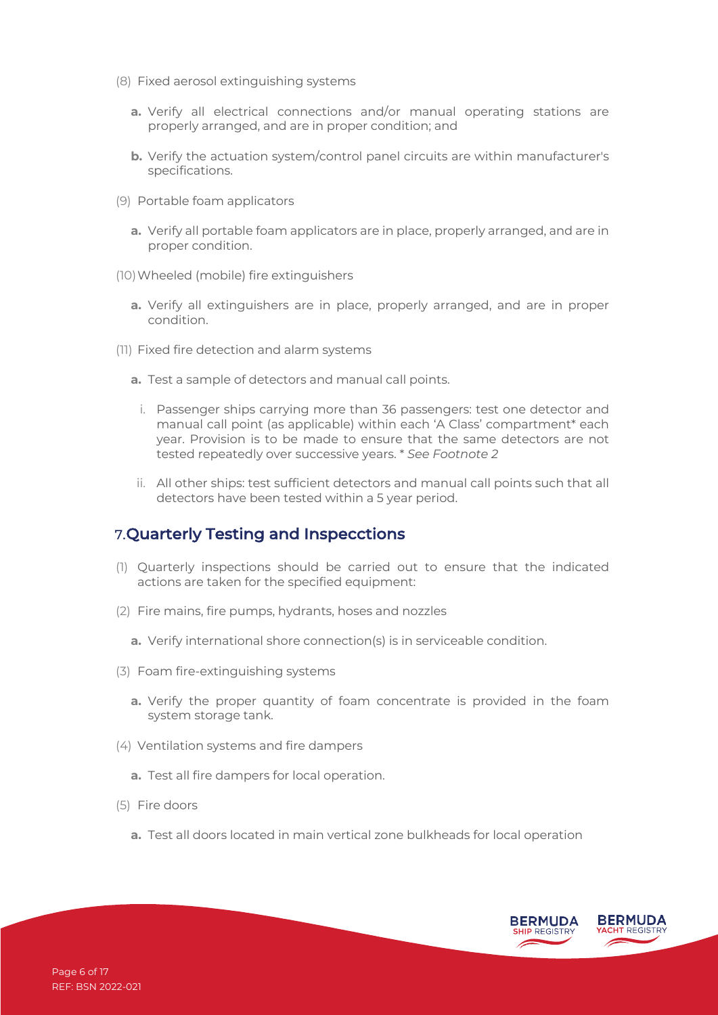- (8) Fixed aerosol extinguishing systems
	- **a.** Verify all electrical connections and/or manual operating stations are properly arranged, and are in proper condition; and
	- **b.** Verify the actuation system/control panel circuits are within manufacturer's specifications.
- (9) Portable foam applicators
	- **a.** Verify all portable foam applicators are in place, properly arranged, and are in proper condition.
- (10)Wheeled (mobile) fire extinguishers
	- **a.** Verify all extinguishers are in place, properly arranged, and are in proper condition.
- (11) Fixed fire detection and alarm systems
	- **a.** Test a sample of detectors and manual call points.
		- i. Passenger ships carrying more than 36 passengers: test one detector and manual call point (as applicable) within each 'A Class' compartment\* each year. Provision is to be made to ensure that the same detectors are not tested repeatedly over successive years. \* *See Footnote 2*
	- ii. All other ships: test sufficient detectors and manual call points such that all detectors have been tested within a 5 year period.

## 7.Quarterly Testing and Inspecctions

- (1) Quarterly inspections should be carried out to ensure that the indicated actions are taken for the specified equipment:
- (2) Fire mains, fire pumps, hydrants, hoses and nozzles
	- **a.** Verify international shore connection(s) is in serviceable condition.
- (3) Foam fire-extinguishing systems
	- **a.** Verify the proper quantity of foam concentrate is provided in the foam system storage tank.
- (4) Ventilation systems and fire dampers
	- **a.** Test all fire dampers for local operation.
- (5) Fire doors
	- **a.** Test all doors located in main vertical zone bulkheads for local operation

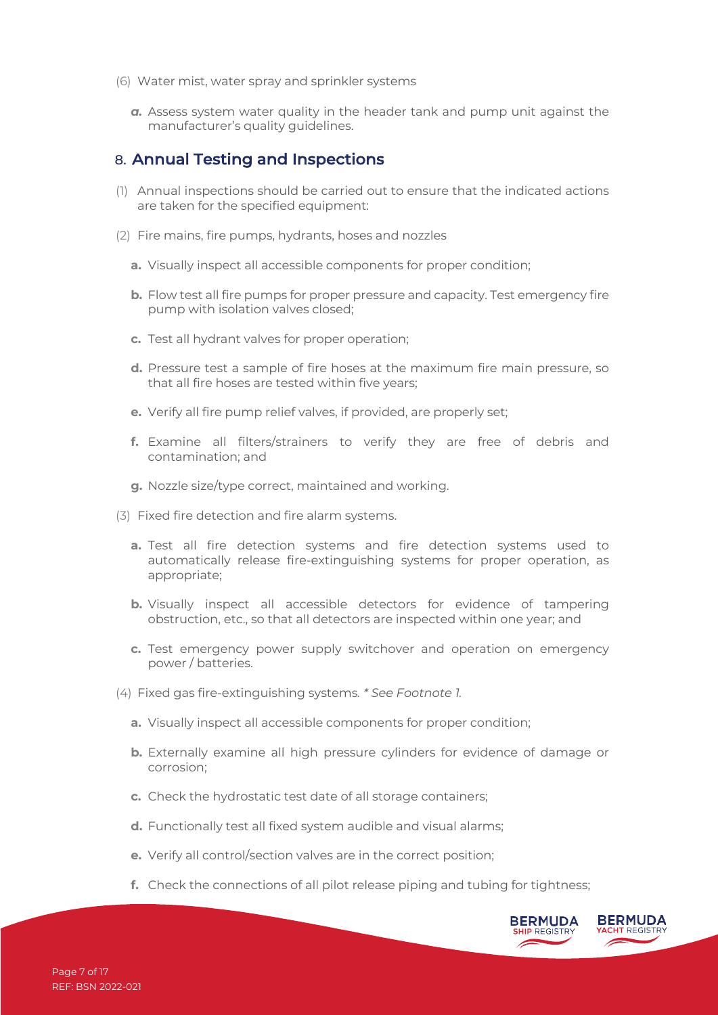- (6) Water mist, water spray and sprinkler systems
	- *a.* Assess system water quality in the header tank and pump unit against the manufacturer's quality guidelines.

#### 8. Annual Testing and Inspections

- (1) Annual inspections should be carried out to ensure that the indicated actions are taken for the specified equipment:
- (2) Fire mains, fire pumps, hydrants, hoses and nozzles
	- **a.** Visually inspect all accessible components for proper condition;
	- **b.** Flow test all fire pumps for proper pressure and capacity. Test emergency fire pump with isolation valves closed;
	- **c.** Test all hydrant valves for proper operation;
	- **d.** Pressure test a sample of fire hoses at the maximum fire main pressure, so that all fire hoses are tested within five years;
	- **e.** Verify all fire pump relief valves, if provided, are properly set;
	- **f.** Examine all filters/strainers to verify they are free of debris and contamination; and
	- **g.** Nozzle size/type correct, maintained and working.
- (3) Fixed fire detection and fire alarm systems.
	- **a.** Test all fire detection systems and fire detection systems used to automatically release fire-extinguishing systems for proper operation, as appropriate;
	- **b.** Visually inspect all accessible detectors for evidence of tampering obstruction, etc., so that all detectors are inspected within one year; and
	- **c.** Test emergency power supply switchover and operation on emergency power / batteries.
- (4) Fixed gas fire-extinguishing systems*. \* See Footnote 1.*
	- **a.** Visually inspect all accessible components for proper condition;
	- **b.** Externally examine all high pressure cylinders for evidence of damage or corrosion;
	- **c.** Check the hydrostatic test date of all storage containers;
	- **d.** Functionally test all fixed system audible and visual alarms;
	- **e.** Verify all control/section valves are in the correct position;
	- **f.** Check the connections of all pilot release piping and tubing for tightness;

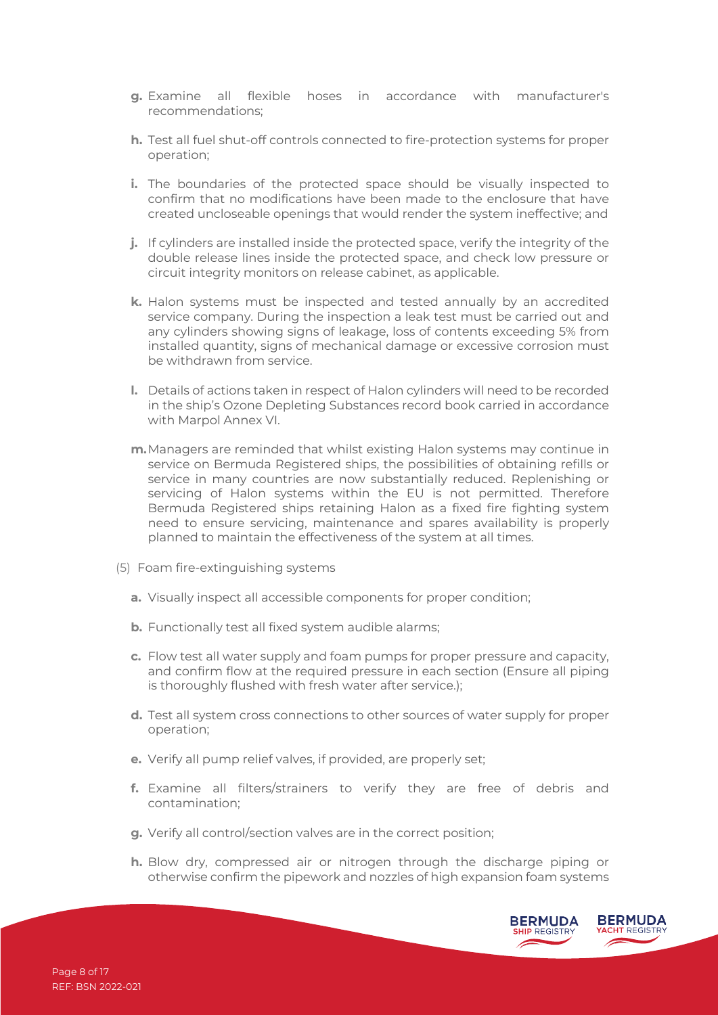- **g.** Examine all flexible hoses in accordance with manufacturer's recommendations;
- **h.** Test all fuel shut-off controls connected to fire-protection systems for proper operation;
- **i.** The boundaries of the protected space should be visually inspected to confirm that no modifications have been made to the enclosure that have created uncloseable openings that would render the system ineffective; and
- **j.** If cylinders are installed inside the protected space, verify the integrity of the double release lines inside the protected space, and check low pressure or circuit integrity monitors on release cabinet, as applicable.
- **k.** Halon systems must be inspected and tested annually by an accredited service company. During the inspection a leak test must be carried out and any cylinders showing signs of leakage, loss of contents exceeding 5% from installed quantity, signs of mechanical damage or excessive corrosion must be withdrawn from service.
- **l.** Details of actions taken in respect of Halon cylinders will need to be recorded in the ship's Ozone Depleting Substances record book carried in accordance with Marpol Annex VI.
- **m.**Managers are reminded that whilst existing Halon systems may continue in service on Bermuda Registered ships, the possibilities of obtaining refills or service in many countries are now substantially reduced. Replenishing or servicing of Halon systems within the EU is not permitted. Therefore Bermuda Registered ships retaining Halon as a fixed fire fighting system need to ensure servicing, maintenance and spares availability is properly planned to maintain the effectiveness of the system at all times.
- (5) Foam fire-extinguishing systems
	- **a.** Visually inspect all accessible components for proper condition;
	- **b.** Functionally test all fixed system audible alarms;
	- **c.** Flow test all water supply and foam pumps for proper pressure and capacity, and confirm flow at the required pressure in each section (Ensure all piping is thoroughly flushed with fresh water after service.);
	- **d.** Test all system cross connections to other sources of water supply for proper operation;
	- **e.** Verify all pump relief valves, if provided, are properly set;
	- **f.** Examine all filters/strainers to verify they are free of debris and contamination;
	- **g.** Verify all control/section valves are in the correct position;
	- **h.** Blow dry, compressed air or nitrogen through the discharge piping or otherwise confirm the pipework and nozzles of high expansion foam systems

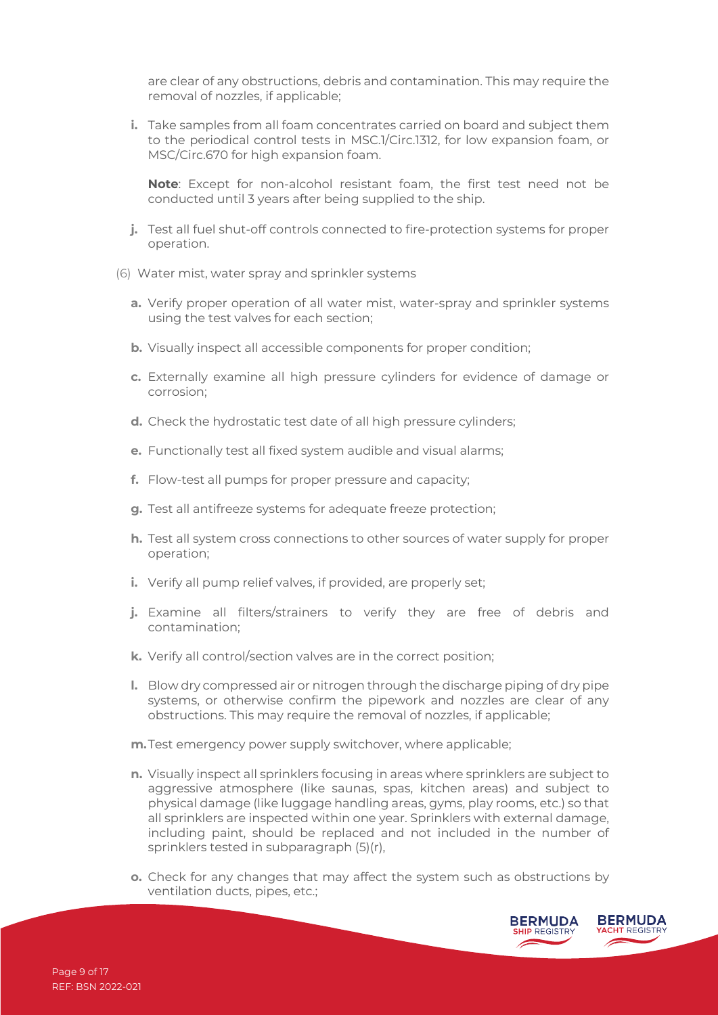are clear of any obstructions, debris and contamination. This may require the removal of nozzles, if applicable;

**i.** Take samples from all foam concentrates carried on board and subject them to the periodical control tests in MSC.1/Circ.1312, for low expansion foam, or MSC/Circ.670 for high expansion foam.

**Note**: Except for non-alcohol resistant foam, the first test need not be conducted until 3 years after being supplied to the ship.

- **j.** Test all fuel shut-off controls connected to fire-protection systems for proper operation.
- (6) Water mist, water spray and sprinkler systems
	- **a.** Verify proper operation of all water mist, water-spray and sprinkler systems using the test valves for each section;
	- **b.** Visually inspect all accessible components for proper condition;
	- **c.** Externally examine all high pressure cylinders for evidence of damage or corrosion;
	- **d.** Check the hydrostatic test date of all high pressure cylinders;
	- **e.** Functionally test all fixed system audible and visual alarms;
	- **f.** Flow-test all pumps for proper pressure and capacity;
	- **g.** Test all antifreeze systems for adequate freeze protection;
	- **h.** Test all system cross connections to other sources of water supply for proper operation;
	- **i.** Verify all pump relief valves, if provided, are properly set;
	- **j.** Examine all filters/strainers to verify they are free of debris and contamination;
	- **k.** Verify all control/section valves are in the correct position;
	- **l.** Blow dry compressed air or nitrogen through the discharge piping of dry pipe systems, or otherwise confirm the pipework and nozzles are clear of any obstructions. This may require the removal of nozzles, if applicable;
	- **m.**Test emergency power supply switchover, where applicable;
	- **n.** Visually inspect all sprinklers focusing in areas where sprinklers are subject to aggressive atmosphere (like saunas, spas, kitchen areas) and subject to physical damage (like luggage handling areas, gyms, play rooms, etc.) so that all sprinklers are inspected within one year. Sprinklers with external damage, including paint, should be replaced and not included in the number of sprinklers tested in subparagraph (5)(r),
	- **o.** Check for any changes that may affect the system such as obstructions by ventilation ducts, pipes, etc.;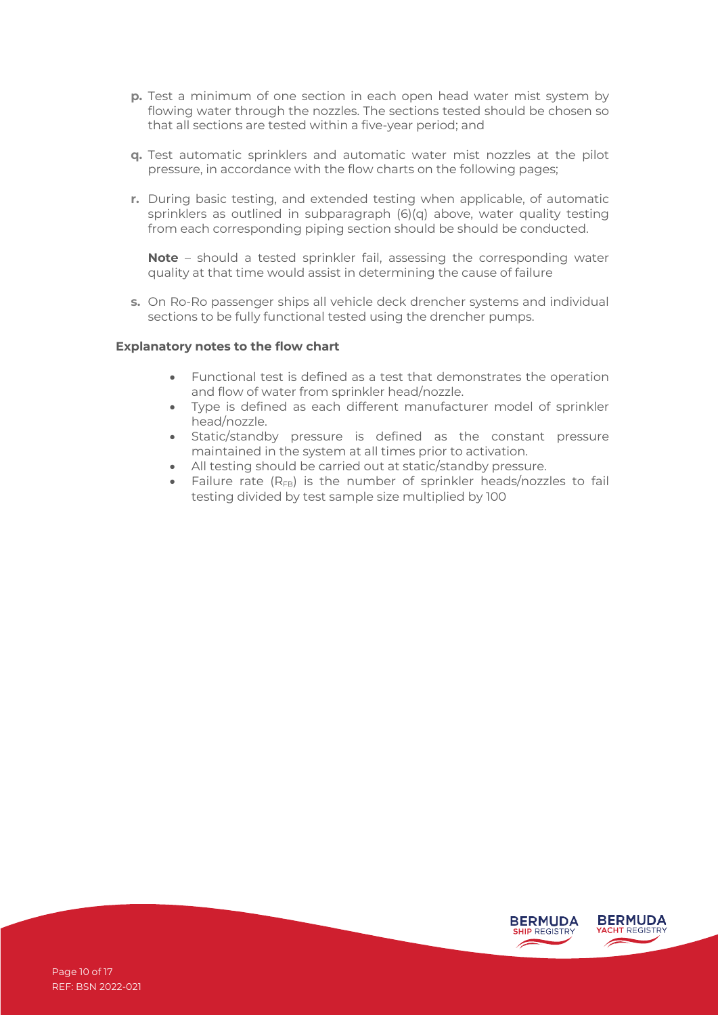- **p.** Test a minimum of one section in each open head water mist system by flowing water through the nozzles. The sections tested should be chosen so that all sections are tested within a five-year period; and
- **q.** Test automatic sprinklers and automatic water mist nozzles at the pilot pressure, in accordance with the flow charts on the following pages;
- **r.** During basic testing, and extended testing when applicable, of automatic sprinklers as outlined in subparagraph (6)(q) above, water quality testing from each corresponding piping section should be should be conducted.

**Note** – should a tested sprinkler fail, assessing the corresponding water quality at that time would assist in determining the cause of failure

**s.** On Ro-Ro passenger ships all vehicle deck drencher systems and individual sections to be fully functional tested using the drencher pumps.

#### **Explanatory notes to the flow chart**

- Functional test is defined as a test that demonstrates the operation and flow of water from sprinkler head/nozzle.
- Type is defined as each different manufacturer model of sprinkler head/nozzle.
- Static/standby pressure is defined as the constant pressure maintained in the system at all times prior to activation.
- All testing should be carried out at static/standby pressure.
- Failure rate  $(R_{FB})$  is the number of sprinkler heads/nozzles to fail testing divided by test sample size multiplied by 100

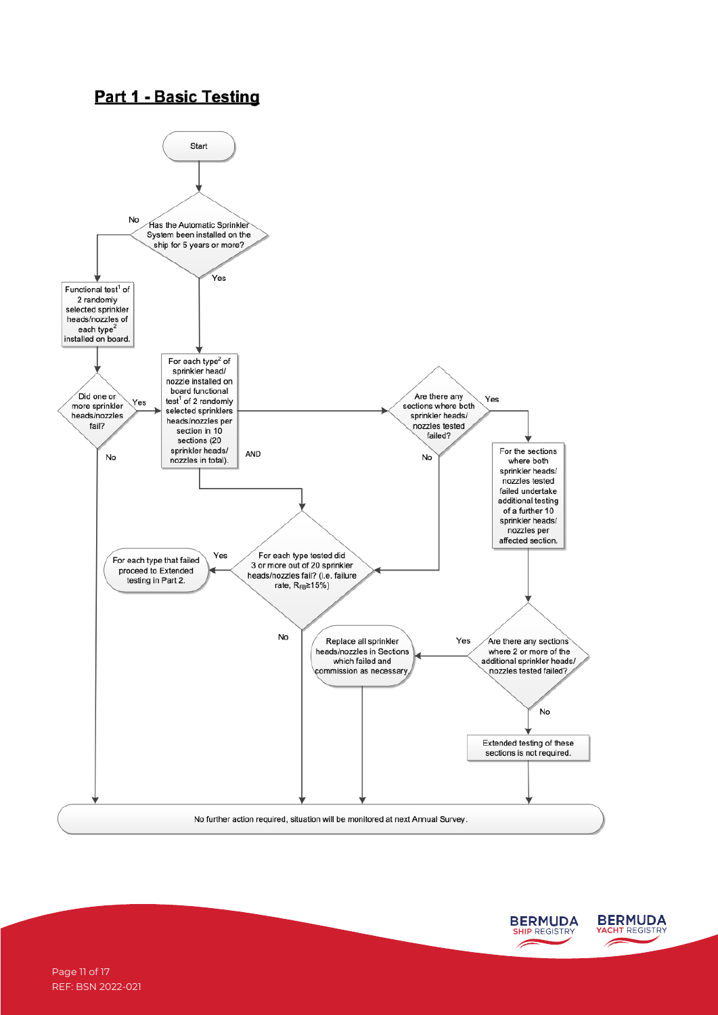## **Part 1 - Basic Testing**



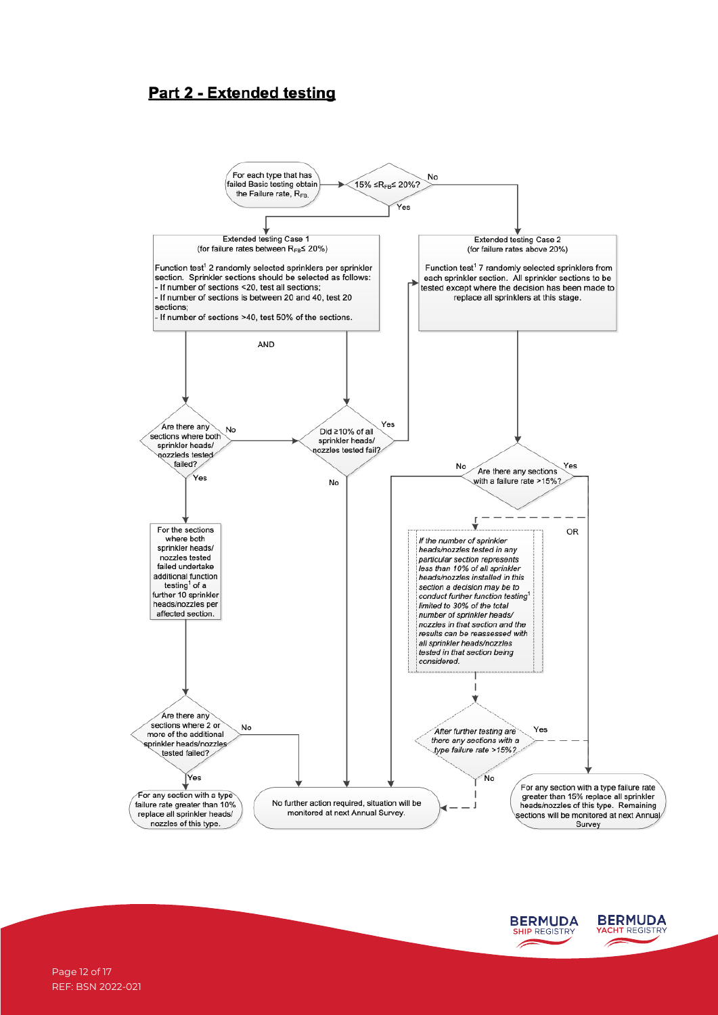## **Part 2 - Extended testing**





Page 12 of 17 REF: BSN 2022-021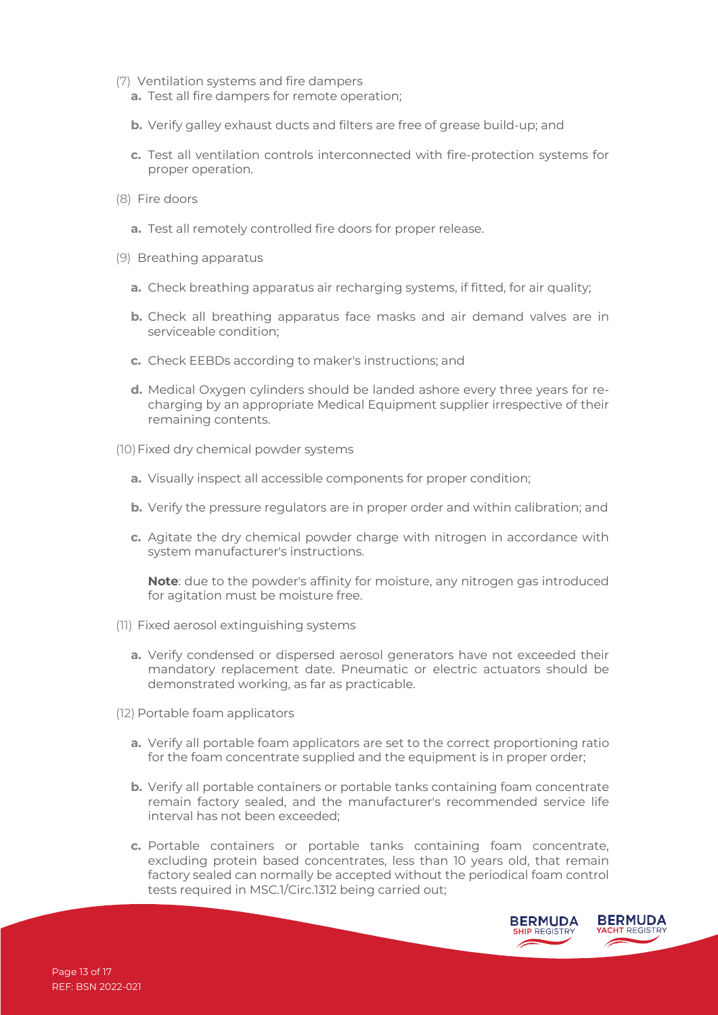- (7) Ventilation systems and fire dampers
	- **a.** Test all fire dampers for remote operation;
	- **b.** Verify galley exhaust ducts and filters are free of grease build-up; and
	- **c.** Test all ventilation controls interconnected with fire-protection systems for proper operation.
- (8) Fire doors
	- **a.** Test all remotely controlled fire doors for proper release.
- (9) Breathing apparatus
	- **a.** Check breathing apparatus air recharging systems, if fitted, for air quality;
	- **b.** Check all breathing apparatus face masks and air demand valves are in serviceable condition;
	- **c.** Check EEBDs according to maker's instructions; and
	- **d.** Medical Oxygen cylinders should be landed ashore every three years for recharging by an appropriate Medical Equipment supplier irrespective of their remaining contents.
- (10)Fixed dry chemical powder systems
	- **a.** Visually inspect all accessible components for proper condition;
	- **b.** Verify the pressure regulators are in proper order and within calibration; and
	- **c.** Agitate the dry chemical powder charge with nitrogen in accordance with system manufacturer's instructions.

**Note**: due to the powder's affinity for moisture, any nitrogen gas introduced for agitation must be moisture free.

- (11) Fixed aerosol extinguishing systems
	- **a.** Verify condensed or dispersed aerosol generators have not exceeded their mandatory replacement date. Pneumatic or electric actuators should be demonstrated working, as far as practicable.
- (12) Portable foam applicators
	- **a.** Verify all portable foam applicators are set to the correct proportioning ratio for the foam concentrate supplied and the equipment is in proper order;
	- **b.** Verify all portable containers or portable tanks containing foam concentrate remain factory sealed, and the manufacturer's recommended service life interval has not been exceeded;
	- **c.** Portable containers or portable tanks containing foam concentrate, excluding protein based concentrates, less than 10 years old, that remain factory sealed can normally be accepted without the periodical foam control tests required in MSC.1/Circ.1312 being carried out;

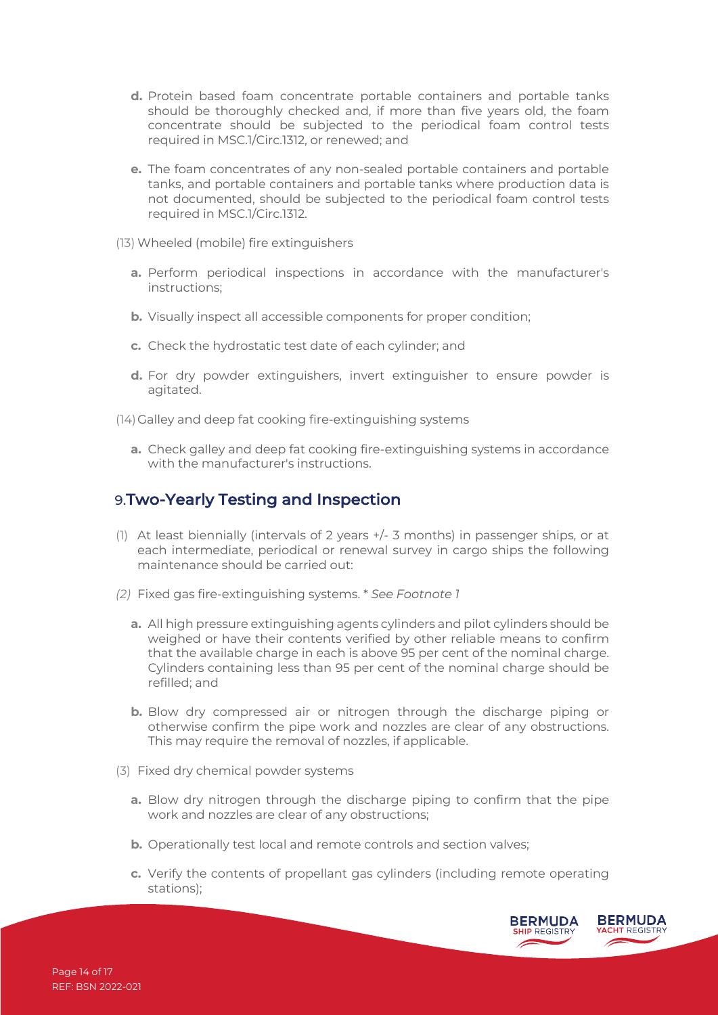- **d.** Protein based foam concentrate portable containers and portable tanks should be thoroughly checked and, if more than five years old, the foam concentrate should be subjected to the periodical foam control tests required in MSC.1/Circ.1312, or renewed; and
- **e.** The foam concentrates of any non-sealed portable containers and portable tanks, and portable containers and portable tanks where production data is not documented, should be subjected to the periodical foam control tests required in MSC.1/Circ.1312.
- (13) Wheeled (mobile) fire extinguishers
	- **a.** Perform periodical inspections in accordance with the manufacturer's instructions;
	- **b.** Visually inspect all accessible components for proper condition;
	- **c.** Check the hydrostatic test date of each cylinder; and
	- **d.** For dry powder extinguishers, invert extinguisher to ensure powder is agitated.

(14)Galley and deep fat cooking fire-extinguishing systems

**a.** Check galley and deep fat cooking fire-extinguishing systems in accordance with the manufacturer's instructions.

#### 9.Two-Yearly Testing and Inspection

- (1) At least biennially (intervals of 2 years +/- 3 months) in passenger ships, or at each intermediate, periodical or renewal survey in cargo ships the following maintenance should be carried out:
- *(2)* Fixed gas fire-extinguishing systems. \* *See Footnote 1*
	- **a.** All high pressure extinguishing agents cylinders and pilot cylinders should be weighed or have their contents verified by other reliable means to confirm that the available charge in each is above 95 per cent of the nominal charge. Cylinders containing less than 95 per cent of the nominal charge should be refilled; and
	- **b.** Blow dry compressed air or nitrogen through the discharge piping or otherwise confirm the pipe work and nozzles are clear of any obstructions. This may require the removal of nozzles, if applicable.
- (3) Fixed dry chemical powder systems
	- **a.** Blow dry nitrogen through the discharge piping to confirm that the pipe work and nozzles are clear of any obstructions;
	- **b.** Operationally test local and remote controls and section valves;
	- **c.** Verify the contents of propellant gas cylinders (including remote operating stations);

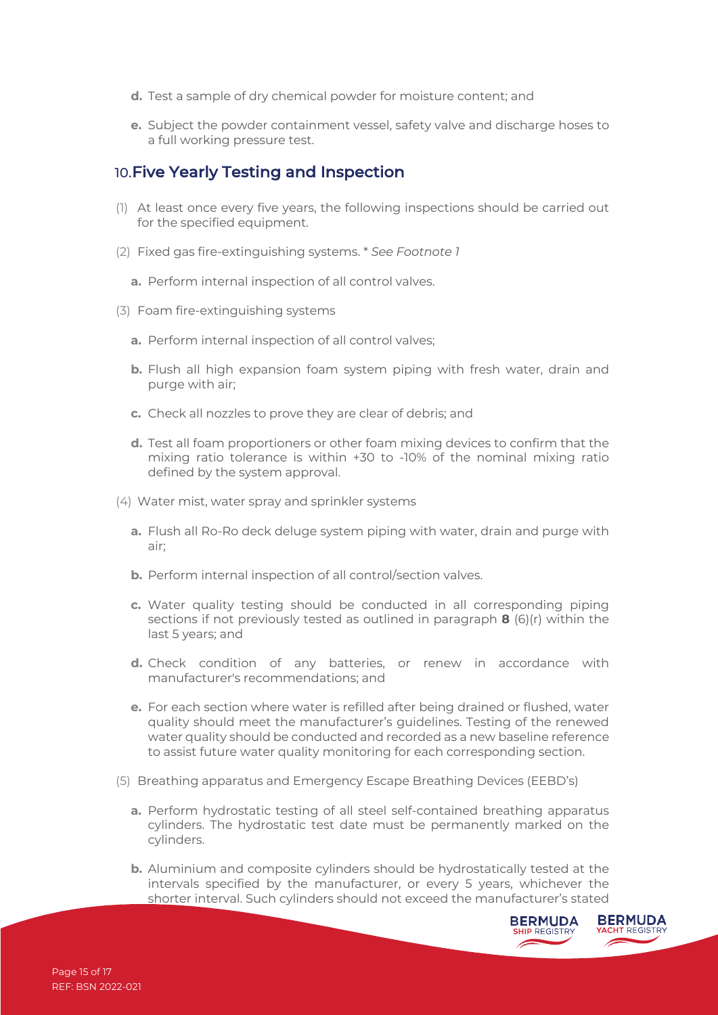- **d.** Test a sample of dry chemical powder for moisture content; and
- **e.** Subject the powder containment vessel, safety valve and discharge hoses to a full working pressure test.

#### 10.Five Yearly Testing and Inspection

- (1) At least once every five years, the following inspections should be carried out for the specified equipment.
- (2) Fixed gas fire-extinguishing systems. \* *See Footnote 1*
	- **a.** Perform internal inspection of all control valves.
- (3) Foam fire-extinguishing systems
	- **a.** Perform internal inspection of all control valves;
	- **b.** Flush all high expansion foam system piping with fresh water, drain and purge with air;
	- **c.** Check all nozzles to prove they are clear of debris; and
	- **d.** Test all foam proportioners or other foam mixing devices to confirm that the mixing ratio tolerance is within +30 to -10% of the nominal mixing ratio defined by the system approval.
- (4) Water mist, water spray and sprinkler systems
	- **a.** Flush all Ro-Ro deck deluge system piping with water, drain and purge with air;
	- **b.** Perform internal inspection of all control/section valves.
	- **c.** Water quality testing should be conducted in all corresponding piping sections if not previously tested as outlined in paragraph **8** (6)(r) within the last 5 years; and
	- **d.** Check condition of any batteries, or renew in accordance with manufacturer's recommendations; and
	- **e.** For each section where water is refilled after being drained or flushed, water quality should meet the manufacturer's guidelines. Testing of the renewed water quality should be conducted and recorded as a new baseline reference to assist future water quality monitoring for each corresponding section.
- (5) Breathing apparatus and Emergency Escape Breathing Devices (EEBD's)
	- **a.** Perform hydrostatic testing of all steel self-contained breathing apparatus cylinders. The hydrostatic test date must be permanently marked on the cylinders.
	- **b.** Aluminium and composite cylinders should be hydrostatically tested at the intervals specified by the manufacturer, or every 5 years, whichever the shorter interval. Such cylinders should not exceed the manufacturer's stated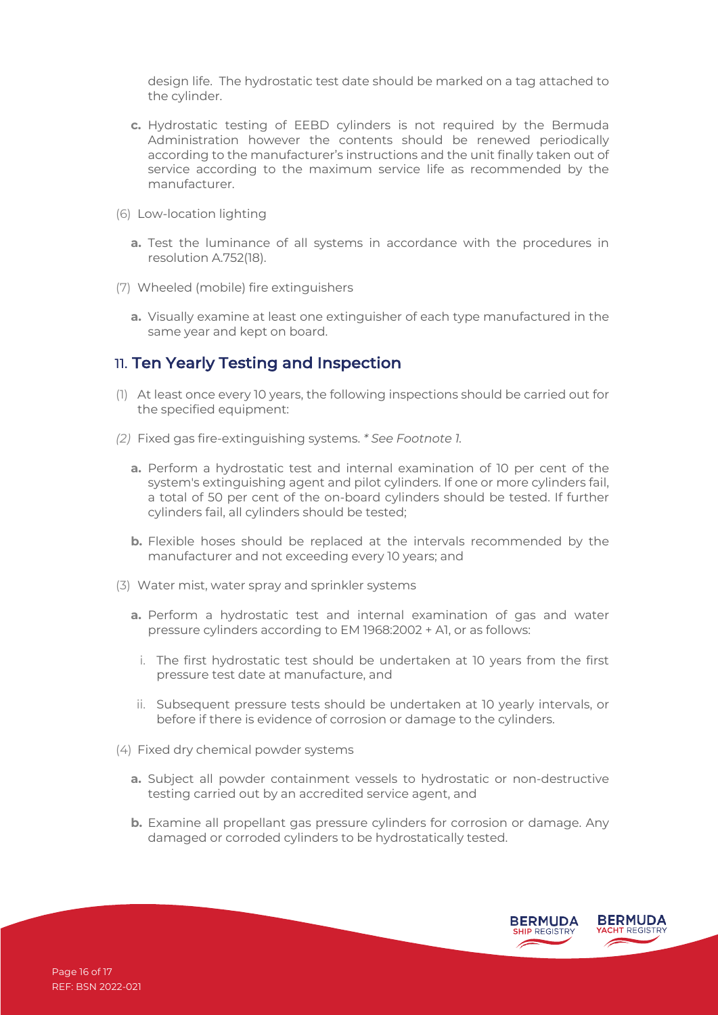design life. The hydrostatic test date should be marked on a tag attached to the cylinder.

- **c.** Hydrostatic testing of EEBD cylinders is not required by the Bermuda Administration however the contents should be renewed periodically according to the manufacturer's instructions and the unit finally taken out of service according to the maximum service life as recommended by the manufacturer.
- (6) Low-location lighting
	- **a.** Test the luminance of all systems in accordance with the procedures in resolution A.752(18).
- (7) Wheeled (mobile) fire extinguishers
	- **a.** Visually examine at least one extinguisher of each type manufactured in the same year and kept on board.

#### 11. Ten Yearly Testing and Inspection

- (1) At least once every 10 years, the following inspections should be carried out for the specified equipment:
- *(2)* Fixed gas fire-extinguishing systems. *\* See Footnote 1.*
	- **a.** Perform a hydrostatic test and internal examination of 10 per cent of the system's extinguishing agent and pilot cylinders. If one or more cylinders fail, a total of 50 per cent of the on-board cylinders should be tested. If further cylinders fail, all cylinders should be tested;
	- **b.** Flexible hoses should be replaced at the intervals recommended by the manufacturer and not exceeding every 10 years; and
- (3) Water mist, water spray and sprinkler systems
	- **a.** Perform a hydrostatic test and internal examination of gas and water pressure cylinders according to EM 1968:2002 + A1, or as follows:
		- i. The first hydrostatic test should be undertaken at 10 years from the first pressure test date at manufacture, and
	- ii. Subsequent pressure tests should be undertaken at 10 yearly intervals, or before if there is evidence of corrosion or damage to the cylinders.
- (4) Fixed dry chemical powder systems
	- **a.** Subject all powder containment vessels to hydrostatic or non-destructive testing carried out by an accredited service agent, and
	- **b.** Examine all propellant gas pressure cylinders for corrosion or damage. Any damaged or corroded cylinders to be hydrostatically tested.